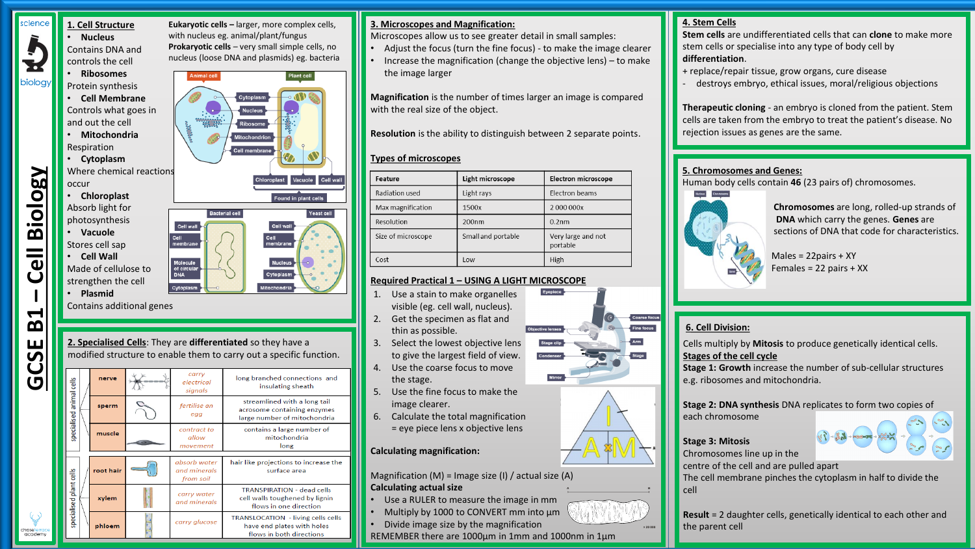#### cience **1. Cell Structure** • **Nucleus**



biology

controls the cell • **Ribosomes** Protein synthesis

Contains DNA and

• **Cell Membrane** Controls what goes in

and out the cell • **Mitochondria**

Respiration • **Cytoplasm**

Where chemical reactions occur

- **Chloroplast** Absorb light for photosynthesis
- **Vacuole** Stores cell sap
- **Cell Wall** Made of cellulose to strengthen the cell
- **Plasmid**

**GCSE B1** 

chaseterrac<br>academy

**– Cell Biology**

Contains additional genes

# **2. Specialised Cells**: They are **differentiated** so they have a modified structure to enable them to carry out a specific function.

**Eukaryotic cells –** larger, more complex cells, with nucleus eg. animal/plant/fungus **Prokaryotic cells** – very small simple cells, no nucleus (loose DNA and plasmids) eg. bacteria

.<br>Cell membrar

**Bacterial cell** 

Cell wal

Cell<br>membran

Molecule<br>of circula<br>DNA Cytoplasm

Plant cell

あかり

Cell wall

Yeast cell

Vacuole

Found in plant cells

Cell wa

|  | nerve     | carry<br>electrical<br>signals            | long branched connections and<br>insulating sheath                                            |
|--|-----------|-------------------------------------------|-----------------------------------------------------------------------------------------------|
|  | sperm     | fertilise an<br>egg                       | streamlined with a long tail<br>acrosome containing enzymes<br>large number of mitochondria   |
|  | muscle    | contract to<br>allow<br>movement          | contains a large number of<br>mitochondria<br>long                                            |
|  | root hair | absorb water<br>and minerals<br>from soil | hair like projections to increase the<br>surface area                                         |
|  | xylem     | carry water<br>and minerals               | <b>TRANSPIRATION - dead cells</b><br>cell walls toughened by lignin<br>flows in one direction |
|  | phloem    | carry glucose                             | TRANSLOCATION - living cells cells<br>have end plates with holes<br>flows in both directions  |

#### **3. Microscopes and Magnification:**

Microscopes allow us to see greater detail in small samples:

- Adjust the focus (turn the fine focus) to make the image clearer
- Increase the magnification (change the objective lens) to make the image larger

**Magnification** is the number of times larger an image is compared with the real size of the object.

**Resolution** is the ability to distinguish between 2 separate points.

# **Types of microscopes**

| Feature            | Light microscope   | <b>Electron microscope</b>     |  |  |
|--------------------|--------------------|--------------------------------|--|--|
| Radiation used     | Light rays         | Electron beams                 |  |  |
| Max magnification  | 1500x              | 2000000x                       |  |  |
| Resolution         | 200 <sub>nm</sub>  | 0.2 <sub>nm</sub>              |  |  |
| Size of microscope | Small and portable | Very large and not<br>portable |  |  |
| Cost               | l ow               | High                           |  |  |

#### **Required Practical 1 – USING A LIGHT MICROSCOPE**

- 1. Use a stain to make organelles visible (eg. cell wall, nucleus).
- 2. Get the specimen as flat and thin as possible.
- 3. Select the lowest objective lens to give the largest field of view.
- 4. Use the coarse focus to move the stage.
- 5. Use the fine focus to make the image clearer.
- 6. Calculate the total magnification = eye piece lens x objective lens

**Calculating magnification:**

Magnification (M) = Image size (I) / actual size (A) **Calculating actual size A B**

- Use a RULER to measure the image in mm
- Multiply by 1000 to CONVERT mm into µm
- Divide image size by the magnification
- REMEMBER there are 1000µm in 1mm and 1000nm in 1µm



**Stem cells** are undifferentiated cells that can **clone** to make more stem cells or specialise into any type of body cell by **differentiation**.

- + replace/repair tissue, grow organs, cure disease
- destroys embryo, ethical issues, moral/religious objections

**Therapeutic cloning** - an embryo is cloned from the patient. Stem cells are taken from the embryo to treat the patient's disease. No rejection issues as genes are the same.

#### **5. Chromosomes and Genes:**

Human body cells contain **46** (23 pairs of) chromosomes.



**Chromosomes** are long, rolled-up strands of **DNA** which carry the genes. **Genes** are sections of DNA that code for characteristics.

Males = 22pairs + XY Females = 22 pairs + XX

# **6. Cell Division:**

Cells multiply by **Mitosis** to produce genetically identical cells. **Stages of the cell cycle**

**Stage 1: Growth** increase the number of sub-cellular structures e.g. ribosomes and mitochondria.

### **Stage 2: DNA synthesis** DNA replicates to form two copies of

each chromosome



**Stage 3: Mitosis**  Chromosomes line up in the

centre of the cell and are pulled apart

The cell membrane pinches the cytoplasm in half to divide the cell



**Result** = 2 daughter cells, genetically identical to each other and the parent cell